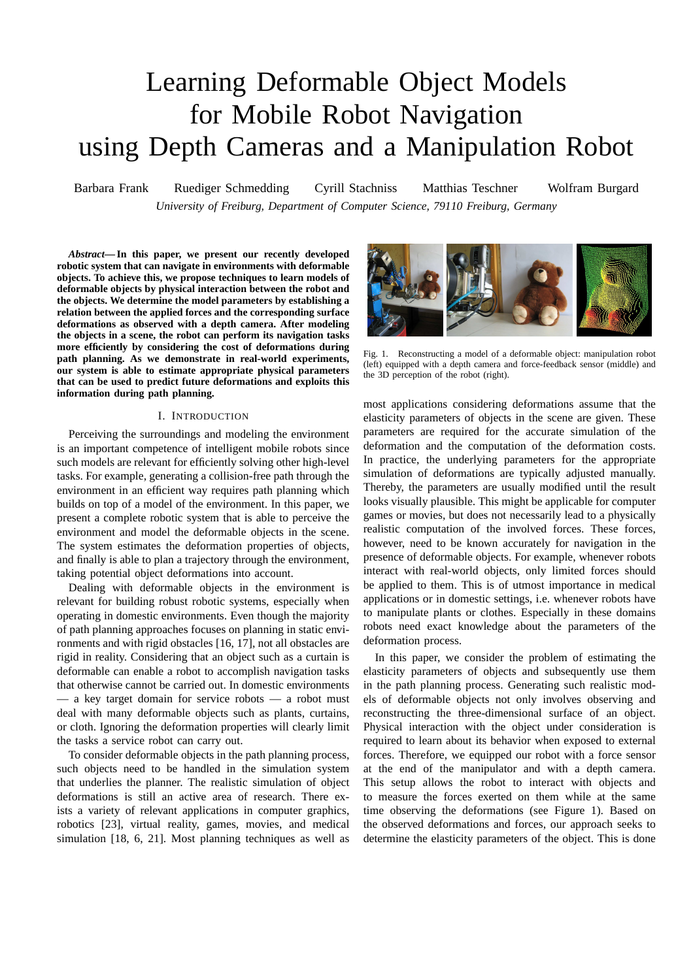# Learning Deformable Object Models for Mobile Robot Navigation using Depth Cameras and a Manipulation Robot

Barbara Frank Ruediger Schmedding Cyrill Stachniss Matthias Teschner Wolfram Burgard *University of Freiburg, Department of Computer Science, 79110 Freiburg, Germany*

*Abstract***— In this paper, we present our recently developed robotic system that can navigate in environments with deformable objects. To achieve this, we propose techniques to learn models of deformable objects by physical interaction between the robot and the objects. We determine the model parameters by establishing a relation between the applied forces and the corresponding surface deformations as observed with a depth camera. After modeling the objects in a scene, the robot can perform its navigation tasks more efficiently by considering the cost of deformations during path planning. As we demonstrate in real-world experiments, our system is able to estimate appropriate physical parameters that can be used to predict future deformations and exploits this information during path planning.**

## I. INTRODUCTION

Perceiving the surroundings and modeling the environment is an important competence of intelligent mobile robots since such models are relevant for efficiently solving other high-level tasks. For example, generating a collision-free path through the environment in an efficient way requires path planning which builds on top of a model of the environment. In this paper, we present a complete robotic system that is able to perceive the environment and model the deformable objects in the scene. The system estimates the deformation properties of objects, and finally is able to plan a trajectory through the environment, taking potential object deformations into account.

Dealing with deformable objects in the environment is relevant for building robust robotic systems, especially when operating in domestic environments. Even though the majority of path planning approaches focuses on planning in static environments and with rigid obstacles [16, 17], not all obstacles are rigid in reality. Considering that an object such as a curtain is deformable can enable a robot to accomplish navigation tasks that otherwise cannot be carried out. In domestic environments — a key target domain for service robots — a robot must deal with many deformable objects such as plants, curtains, or cloth. Ignoring the deformation properties will clearly limit the tasks a service robot can carry out.

To consider deformable objects in the path planning process, such objects need to be handled in the simulation system that underlies the planner. The realistic simulation of object deformations is still an active area of research. There exists a variety of relevant applications in computer graphics, robotics [23], virtual reality, games, movies, and medical simulation [18, 6, 21]. Most planning techniques as well as



Fig. 1. Reconstructing a model of a deformable object: manipulation robot (left) equipped with a depth camera and force-feedback sensor (middle) and the 3D perception of the robot (right).

most applications considering deformations assume that the elasticity parameters of objects in the scene are given. These parameters are required for the accurate simulation of the deformation and the computation of the deformation costs. In practice, the underlying parameters for the appropriate simulation of deformations are typically adjusted manually. Thereby, the parameters are usually modified until the result looks visually plausible. This might be applicable for computer games or movies, but does not necessarily lead to a physically realistic computation of the involved forces. These forces, however, need to be known accurately for navigation in the presence of deformable objects. For example, whenever robots interact with real-world objects, only limited forces should be applied to them. This is of utmost importance in medical applications or in domestic settings, i.e. whenever robots have to manipulate plants or clothes. Especially in these domains robots need exact knowledge about the parameters of the deformation process.

In this paper, we consider the problem of estimating the elasticity parameters of objects and subsequently use them in the path planning process. Generating such realistic models of deformable objects not only involves observing and reconstructing the three-dimensional surface of an object. Physical interaction with the object under consideration is required to learn about its behavior when exposed to external forces. Therefore, we equipped our robot with a force sensor at the end of the manipulator and with a depth camera. This setup allows the robot to interact with objects and to measure the forces exerted on them while at the same time observing the deformations (see Figure 1). Based on the observed deformations and forces, our approach seeks to determine the elasticity parameters of the object. This is done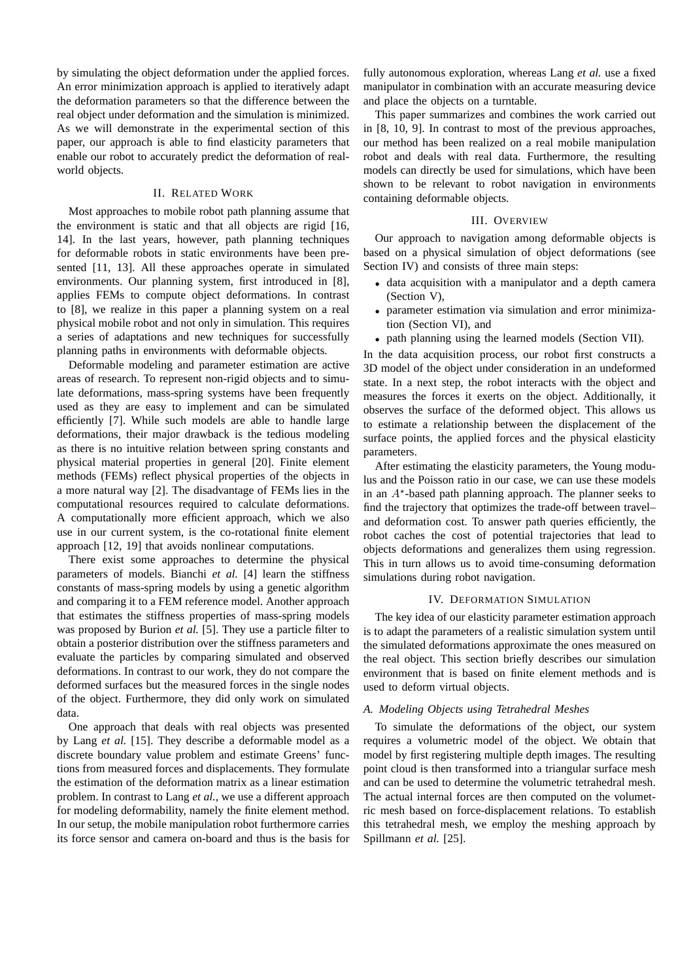by simulating the object deformation under the applied forces. An error minimization approach is applied to iteratively adapt the deformation parameters so that the difference between the real object under deformation and the simulation is minimized. As we will demonstrate in the experimental section of this paper, our approach is able to find elasticity parameters that enable our robot to accurately predict the deformation of realworld objects.

## II. RELATED WORK

Most approaches to mobile robot path planning assume that the environment is static and that all objects are rigid [16, 14]. In the last years, however, path planning techniques for deformable robots in static environments have been presented [11, 13]. All these approaches operate in simulated environments. Our planning system, first introduced in [8], applies FEMs to compute object deformations. In contrast to [8], we realize in this paper a planning system on a real physical mobile robot and not only in simulation. This requires a series of adaptations and new techniques for successfully planning paths in environments with deformable objects.

Deformable modeling and parameter estimation are active areas of research. To represent non-rigid objects and to simulate deformations, mass-spring systems have been frequently used as they are easy to implement and can be simulated efficiently [7]. While such models are able to handle large deformations, their major drawback is the tedious modeling as there is no intuitive relation between spring constants and physical material properties in general [20]. Finite element methods (FEMs) reflect physical properties of the objects in a more natural way [2]. The disadvantage of FEMs lies in the computational resources required to calculate deformations. A computationally more efficient approach, which we also use in our current system, is the co-rotational finite element approach [12, 19] that avoids nonlinear computations.

There exist some approaches to determine the physical parameters of models. Bianchi *et al.* [4] learn the stiffness constants of mass-spring models by using a genetic algorithm and comparing it to a FEM reference model. Another approach that estimates the stiffness properties of mass-spring models was proposed by Burion *et al.* [5]. They use a particle filter to obtain a posterior distribution over the stiffness parameters and evaluate the particles by comparing simulated and observed deformations. In contrast to our work, they do not compare the deformed surfaces but the measured forces in the single nodes of the object. Furthermore, they did only work on simulated data.

One approach that deals with real objects was presented by Lang *et al.* [15]. They describe a deformable model as a discrete boundary value problem and estimate Greens' functions from measured forces and displacements. They formulate the estimation of the deformation matrix as a linear estimation problem. In contrast to Lang *et al.*, we use a different approach for modeling deformability, namely the finite element method. In our setup, the mobile manipulation robot furthermore carries its force sensor and camera on-board and thus is the basis for

fully autonomous exploration, whereas Lang *et al.* use a fixed manipulator in combination with an accurate measuring device and place the objects on a turntable.

This paper summarizes and combines the work carried out in [8, 10, 9]. In contrast to most of the previous approaches, our method has been realized on a real mobile manipulation robot and deals with real data. Furthermore, the resulting models can directly be used for simulations, which have been shown to be relevant to robot navigation in environments containing deformable objects.

## III. OVERVIEW

Our approach to navigation among deformable objects is based on a physical simulation of object deformations (see Section IV) and consists of three main steps:

- data acquisition with a manipulator and a depth camera (Section V),
- parameter estimation via simulation and error minimization (Section VI), and
- path planning using the learned models (Section VII).

In the data acquisition process, our robot first constructs a 3D model of the object under consideration in an undeformed state. In a next step, the robot interacts with the object and measures the forces it exerts on the object. Additionally, it observes the surface of the deformed object. This allows us to estimate a relationship between the displacement of the surface points, the applied forces and the physical elasticity parameters.

After estimating the elasticity parameters, the Young modulus and the Poisson ratio in our case, we can use these models in an  $A^*$ -based path planning approach. The planner seeks to find the trajectory that optimizes the trade-off between travel– and deformation cost. To answer path queries efficiently, the robot caches the cost of potential trajectories that lead to objects deformations and generalizes them using regression. This in turn allows us to avoid time-consuming deformation simulations during robot navigation.

#### IV. DEFORMATION SIMULATION

The key idea of our elasticity parameter estimation approach is to adapt the parameters of a realistic simulation system until the simulated deformations approximate the ones measured on the real object. This section briefly describes our simulation environment that is based on finite element methods and is used to deform virtual objects.

# *A. Modeling Objects using Tetrahedral Meshes*

To simulate the deformations of the object, our system requires a volumetric model of the object. We obtain that model by first registering multiple depth images. The resulting point cloud is then transformed into a triangular surface mesh and can be used to determine the volumetric tetrahedral mesh. The actual internal forces are then computed on the volumetric mesh based on force-displacement relations. To establish this tetrahedral mesh, we employ the meshing approach by Spillmann *et al.* [25].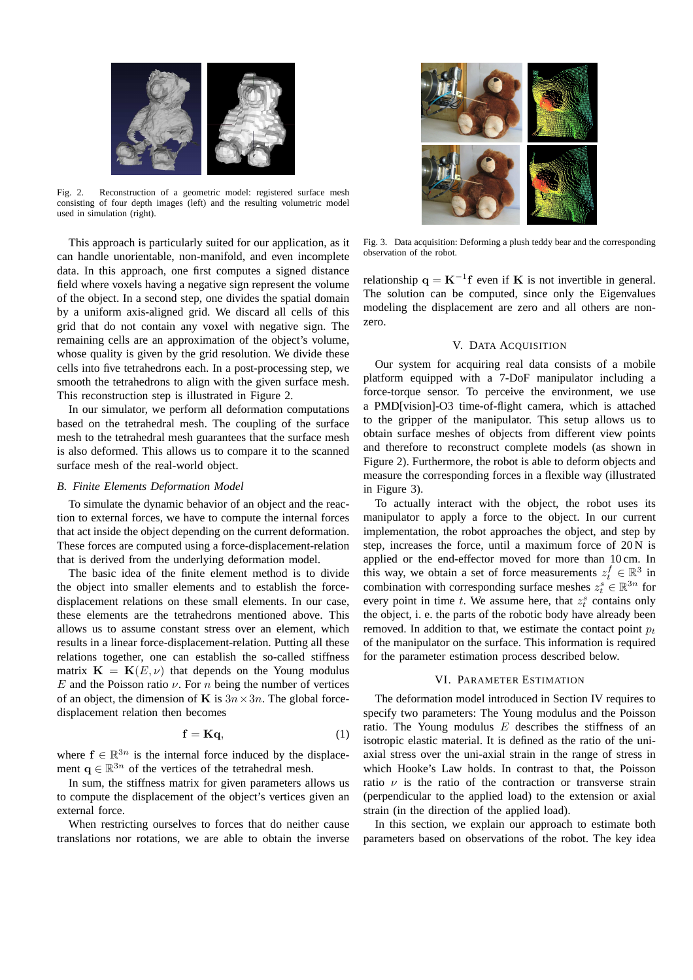

Fig. 2. Reconstruction of a geometric model: registered surface mesh consisting of four depth images (left) and the resulting volumetric model used in simulation (right).

This approach is particularly suited for our application, as it can handle unorientable, non-manifold, and even incomplete data. In this approach, one first computes a signed distance field where voxels having a negative sign represent the volume of the object. In a second step, one divides the spatial domain by a uniform axis-aligned grid. We discard all cells of this grid that do not contain any voxel with negative sign. The remaining cells are an approximation of the object's volume, whose quality is given by the grid resolution. We divide these cells into five tetrahedrons each. In a post-processing step, we smooth the tetrahedrons to align with the given surface mesh. This reconstruction step is illustrated in Figure 2.

In our simulator, we perform all deformation computations based on the tetrahedral mesh. The coupling of the surface mesh to the tetrahedral mesh guarantees that the surface mesh is also deformed. This allows us to compare it to the scanned surface mesh of the real-world object.

## *B. Finite Elements Deformation Model*

To simulate the dynamic behavior of an object and the reaction to external forces, we have to compute the internal forces that act inside the object depending on the current deformation. These forces are computed using a force-displacement-relation that is derived from the underlying deformation model.

The basic idea of the finite element method is to divide the object into smaller elements and to establish the forcedisplacement relations on these small elements. In our case, these elements are the tetrahedrons mentioned above. This allows us to assume constant stress over an element, which results in a linear force-displacement-relation. Putting all these relations together, one can establish the so-called stiffness matrix  $\mathbf{K} = \mathbf{K}(E, \nu)$  that depends on the Young modulus E and the Poisson ratio  $\nu$ . For n being the number of vertices of an object, the dimension of K is  $3n \times 3n$ . The global forcedisplacement relation then becomes

$$
\mathbf{f} = \mathbf{K}\mathbf{q},\tag{1}
$$

where  $f \in \mathbb{R}^{3n}$  is the internal force induced by the displacement  $q \in \mathbb{R}^{3n}$  of the vertices of the tetrahedral mesh.

In sum, the stiffness matrix for given parameters allows us to compute the displacement of the object's vertices given an external force.

When restricting ourselves to forces that do neither cause translations nor rotations, we are able to obtain the inverse



Fig. 3. Data acquisition: Deforming a plush teddy bear and the corresponding observation of the robot.

relationship  $\mathbf{q} = \mathbf{K}^{-1} \mathbf{f}$  even if **K** is not invertible in general. The solution can be computed, since only the Eigenvalues modeling the displacement are zero and all others are nonzero.

#### V. DATA ACQUISITION

Our system for acquiring real data consists of a mobile platform equipped with a 7-DoF manipulator including a force-torque sensor. To perceive the environment, we use a PMD[vision]-O3 time-of-flight camera, which is attached to the gripper of the manipulator. This setup allows us to obtain surface meshes of objects from different view points and therefore to reconstruct complete models (as shown in Figure 2). Furthermore, the robot is able to deform objects and measure the corresponding forces in a flexible way (illustrated in Figure 3).

To actually interact with the object, the robot uses its manipulator to apply a force to the object. In our current implementation, the robot approaches the object, and step by step, increases the force, until a maximum force of 20 N is applied or the end-effector moved for more than 10 cm. In this way, we obtain a set of force measurements  $z_t^f \in \mathbb{R}^3$  in combination with corresponding surface meshes  $z_t^s \in \mathbb{R}^{3n}$  for every point in time  $t$ . We assume here, that  $z_t^s$  contains only the object, i. e. the parts of the robotic body have already been removed. In addition to that, we estimate the contact point  $p_t$ of the manipulator on the surface. This information is required for the parameter estimation process described below.

# VI. PARAMETER ESTIMATION

The deformation model introduced in Section IV requires to specify two parameters: The Young modulus and the Poisson ratio. The Young modulus  $E$  describes the stiffness of an isotropic elastic material. It is defined as the ratio of the uniaxial stress over the uni-axial strain in the range of stress in which Hooke's Law holds. In contrast to that, the Poisson ratio  $\nu$  is the ratio of the contraction or transverse strain (perpendicular to the applied load) to the extension or axial strain (in the direction of the applied load).

In this section, we explain our approach to estimate both parameters based on observations of the robot. The key idea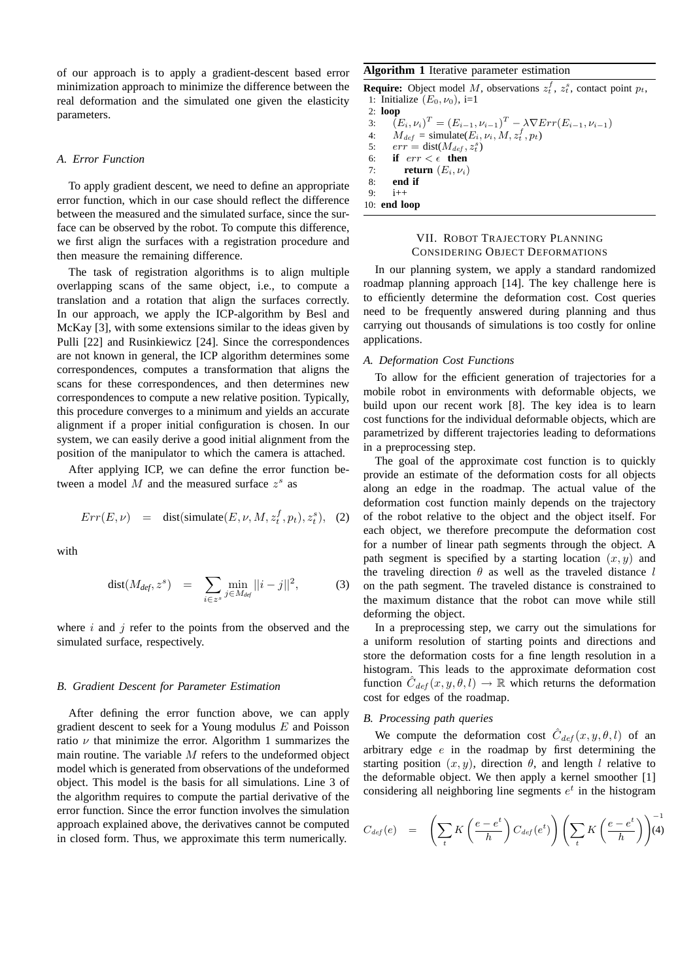of our approach is to apply a gradient-descent based error minimization approach to minimize the difference between the real deformation and the simulated one given the elasticity parameters.

#### *A. Error Function*

To apply gradient descent, we need to define an appropriate error function, which in our case should reflect the difference between the measured and the simulated surface, since the surface can be observed by the robot. To compute this difference, we first align the surfaces with a registration procedure and then measure the remaining difference.

The task of registration algorithms is to align multiple overlapping scans of the same object, i.e., to compute a translation and a rotation that align the surfaces correctly. In our approach, we apply the ICP-algorithm by Besl and McKay [3], with some extensions similar to the ideas given by Pulli [22] and Rusinkiewicz [24]. Since the correspondences are not known in general, the ICP algorithm determines some correspondences, computes a transformation that aligns the scans for these correspondences, and then determines new correspondences to compute a new relative position. Typically, this procedure converges to a minimum and yields an accurate alignment if a proper initial configuration is chosen. In our system, we can easily derive a good initial alignment from the position of the manipulator to which the camera is attached.

After applying ICP, we can define the error function between a model  $M$  and the measured surface  $z<sup>s</sup>$  as

$$
Err(E, \nu) = \text{dist}(\text{simulate}(E, \nu, M, z_t^f, p_t), z_t^s), \tag{2}
$$

with

$$
\text{dist}(M_{\text{def}}, z^s) = \sum_{i \in z^s} \min_{j \in M_{\text{def}}} ||i - j||^2, \tag{3}
$$

where  $i$  and  $j$  refer to the points from the observed and the simulated surface, respectively.

## *B. Gradient Descent for Parameter Estimation*

After defining the error function above, we can apply gradient descent to seek for a Young modulus  $E$  and Poisson ratio  $\nu$  that minimize the error. Algorithm 1 summarizes the main routine. The variable  $M$  refers to the undeformed object model which is generated from observations of the undeformed object. This model is the basis for all simulations. Line 3 of the algorithm requires to compute the partial derivative of the error function. Since the error function involves the simulation approach explained above, the derivatives cannot be computed in closed form. Thus, we approximate this term numerically.

# **Algorithm 1** Iterative parameter estimation

**Require:** Object model M, observations  $z_t^f$ ,  $z_t^s$ , contact point  $p_t$ , 1: Initialize  $(E_0, \nu_0)$ , i=1

2: **loop** 3:  $(E_i, \nu_i)^T = (E_{i-1}, \nu_{i-1})^T - \lambda \nabla Err(E_{i-1}, \nu_{i-1})$ 4:  $M_{def} = \text{simulate}(E_i, \nu_i, M, z_t^f, p_t)$ 5:  $err = dist(M_{def}, z_t^s)$ 6: **if**  $err < \epsilon$  **then**<br>7: **return**  $(E_i, \nu_i)$ return  $(E_i, \nu_i)$ 8: **end if**  $9 \cdot i+1$ 10: **end loop**

# VII. ROBOT TRAJECTORY PLANNING CONSIDERING OBJECT DEFORMATIONS

In our planning system, we apply a standard randomized roadmap planning approach [14]. The key challenge here is to efficiently determine the deformation cost. Cost queries need to be frequently answered during planning and thus carrying out thousands of simulations is too costly for online applications.

#### *A. Deformation Cost Functions*

To allow for the efficient generation of trajectories for a mobile robot in environments with deformable objects, we build upon our recent work [8]. The key idea is to learn cost functions for the individual deformable objects, which are parametrized by different trajectories leading to deformations in a preprocessing step.

The goal of the approximate cost function is to quickly provide an estimate of the deformation costs for all objects along an edge in the roadmap. The actual value of the deformation cost function mainly depends on the trajectory of the robot relative to the object and the object itself. For each object, we therefore precompute the deformation cost for a number of linear path segments through the object. A path segment is specified by a starting location  $(x, y)$  and the traveling direction  $\theta$  as well as the traveled distance l on the path segment. The traveled distance is constrained to the maximum distance that the robot can move while still deforming the object.

In a preprocessing step, we carry out the simulations for a uniform resolution of starting points and directions and store the deformation costs for a fine length resolution in a histogram. This leads to the approximate deformation cost function  $\hat{C}_{def}(x, y, \theta, l) \rightarrow \mathbb{R}$  which returns the deformation cost for edges of the roadmap.

# *B. Processing path queries*

We compute the deformation cost  $\hat{C}_{def}(x, y, \theta, l)$  of an arbitrary edge  $e$  in the roadmap by first determining the starting position  $(x, y)$ , direction  $\theta$ , and length l relative to the deformable object. We then apply a kernel smoother [1] considering all neighboring line segments  $e^t$  in the histogram

$$
C_{def}(e) = \left(\sum_{t} K\left(\frac{e-e^{t}}{h}\right) C_{def}(e^{t})\right) \left(\sum_{t} K\left(\frac{e-e^{t}}{h}\right)\right)^{-1}
$$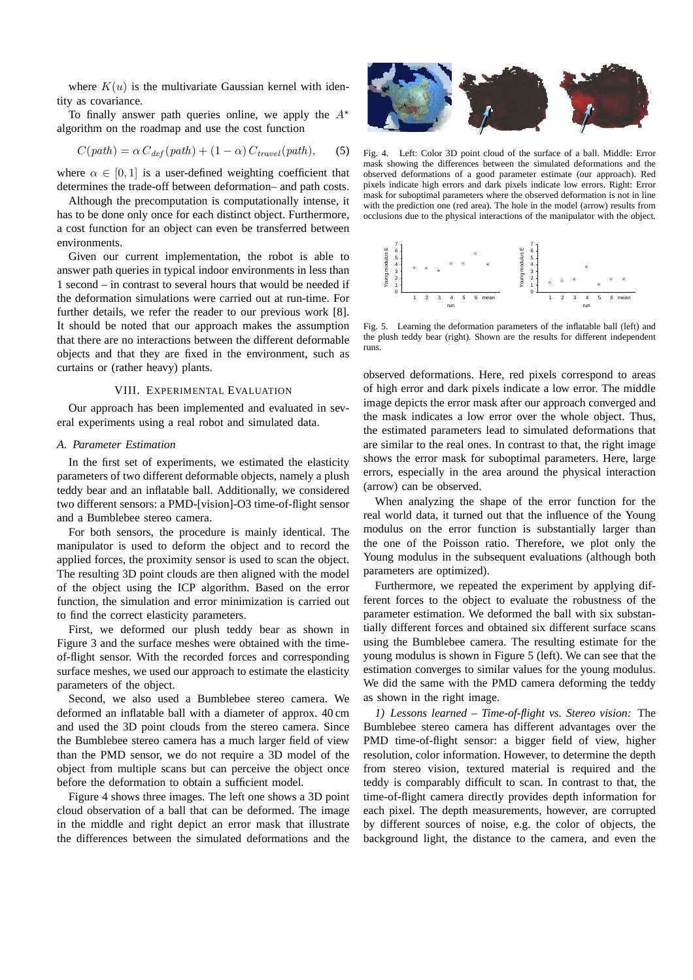where  $K(u)$  is the multivariate Gaussian kernel with identity as covariance.

To finally answer path queries online, we apply the  $A^*$ algorithm on the roadmap and use the cost function

$$
C(path) = \alpha C_{def}(path) + (1 - \alpha) C_{travel}(path),
$$
 (5)

where  $\alpha \in [0, 1]$  is a user-defined weighting coefficient that determines the trade-off between deformation– and path costs.

Although the precomputation is computationally intense, it has to be done only once for each distinct object. Furthermore, a cost function for an object can even be transferred between environments.

Given our current implementation, the robot is able to answer path queries in typical indoor environments in less than 1 second – in contrast to several hours that would be needed if the deformation simulations were carried out at run-time. For further details, we refer the reader to our previous work [8]. It should be noted that our approach makes the assumption that there are no interactions between the different deformable objects and that they are fixed in the environment, such as curtains or (rather heavy) plants.

### VIII. EXPERIMENTAL EVALUATION

Our approach has been implemented and evaluated in several experiments using a real robot and simulated data.

## *A. Parameter Estimation*

In the first set of experiments, we estimated the elasticity parameters of two different deformable objects, namely a plush teddy bear and an inflatable ball. Additionally, we considered two different sensors: a PMD-[vision]-O3 time-of-flight sensor and a Bumblebee stereo camera.

For both sensors, the procedure is mainly identical. The manipulator is used to deform the object and to record the applied forces, the proximity sensor is used to scan the object. The resulting 3D point clouds are then aligned with the model of the object using the ICP algorithm. Based on the error function, the simulation and error minimization is carried out to find the correct elasticity parameters.

First, we deformed our plush teddy bear as shown in Figure 3 and the surface meshes were obtained with the timeof-flight sensor. With the recorded forces and corresponding surface meshes, we used our approach to estimate the elasticity parameters of the object.

Second, we also used a Bumblebee stereo camera. We deformed an inflatable ball with a diameter of approx. 40 cm and used the 3D point clouds from the stereo camera. Since the Bumblebee stereo camera has a much larger field of view than the PMD sensor, we do not require a 3D model of the object from multiple scans but can perceive the object once before the deformation to obtain a sufficient model.

Figure 4 shows three images. The left one shows a 3D point cloud observation of a ball that can be deformed. The image in the middle and right depict an error mask that illustrate the differences between the simulated deformations and the



Fig. 4. Left: Color 3D point cloud of the surface of a ball. Middle: Error mask showing the differences between the simulated deformations and the observed deformations of a good parameter estimate (our approach). Red pixels indicate high errors and dark pixels indicate low errors. Right: Error mask for suboptimal parameters where the observed deformation is not in line with the prediction one (red area). The hole in the model (arrow) results from occlusions due to the physical interactions of the manipulator with the object.



Fig. 5. Learning the deformation parameters of the inflatable ball (left) and the plush teddy bear (right). Shown are the results for different independent runs.

observed deformations. Here, red pixels correspond to areas of high error and dark pixels indicate a low error. The middle image depicts the error mask after our approach converged and the mask indicates a low error over the whole object. Thus, the estimated parameters lead to simulated deformations that are similar to the real ones. In contrast to that, the right image shows the error mask for suboptimal parameters. Here, large errors, especially in the area around the physical interaction (arrow) can be observed.

When analyzing the shape of the error function for the real world data, it turned out that the influence of the Young modulus on the error function is substantially larger than the one of the Poisson ratio. Therefore, we plot only the Young modulus in the subsequent evaluations (although both parameters are optimized).

Furthermore, we repeated the experiment by applying different forces to the object to evaluate the robustness of the parameter estimation. We deformed the ball with six substantially different forces and obtained six different surface scans using the Bumblebee camera. The resulting estimate for the young modulus is shown in Figure 5 (left). We can see that the estimation converges to similar values for the young modulus. We did the same with the PMD camera deforming the teddy as shown in the right image.

*1) Lessons learned – Time-of-flight vs. Stereo vision:* The Bumblebee stereo camera has different advantages over the PMD time-of-flight sensor: a bigger field of view, higher resolution, color information. However, to determine the depth from stereo vision, textured material is required and the teddy is comparably difficult to scan. In contrast to that, the time-of-flight camera directly provides depth information for each pixel. The depth measurements, however, are corrupted by different sources of noise, e.g. the color of objects, the background light, the distance to the camera, and even the